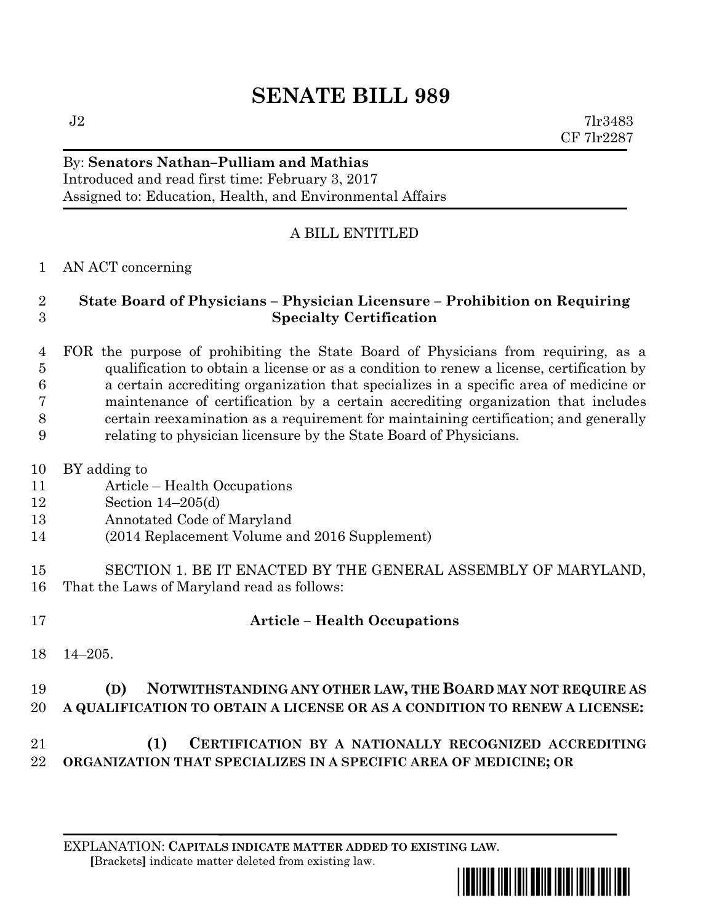# **SENATE BILL 989**

 $J2$  7lr3483 CF 7lr2287

#### By: **Senators Nathan–Pulliam and Mathias** Introduced and read first time: February 3, 2017 Assigned to: Education, Health, and Environmental Affairs

## A BILL ENTITLED

#### AN ACT concerning

#### **State Board of Physicians – Physician Licensure – Prohibition on Requiring Specialty Certification**

 FOR the purpose of prohibiting the State Board of Physicians from requiring, as a qualification to obtain a license or as a condition to renew a license, certification by a certain accrediting organization that specializes in a specific area of medicine or maintenance of certification by a certain accrediting organization that includes certain reexamination as a requirement for maintaining certification; and generally relating to physician licensure by the State Board of Physicians.

- BY adding to
- Article Health Occupations
- Section 14–205(d)
- Annotated Code of Maryland
- (2014 Replacement Volume and 2016 Supplement)
- SECTION 1. BE IT ENACTED BY THE GENERAL ASSEMBLY OF MARYLAND, That the Laws of Maryland read as follows:
- 

## **Article – Health Occupations**

14–205.

# **(D) NOTWITHSTANDING ANY OTHER LAW, THE BOARD MAY NOT REQUIRE AS A QUALIFICATION TO OBTAIN A LICENSE OR AS A CONDITION TO RENEW A LICENSE:**

# **(1) CERTIFICATION BY A NATIONALLY RECOGNIZED ACCREDITING ORGANIZATION THAT SPECIALIZES IN A SPECIFIC AREA OF MEDICINE; OR**

EXPLANATION: **CAPITALS INDICATE MATTER ADDED TO EXISTING LAW**.  **[**Brackets**]** indicate matter deleted from existing law.